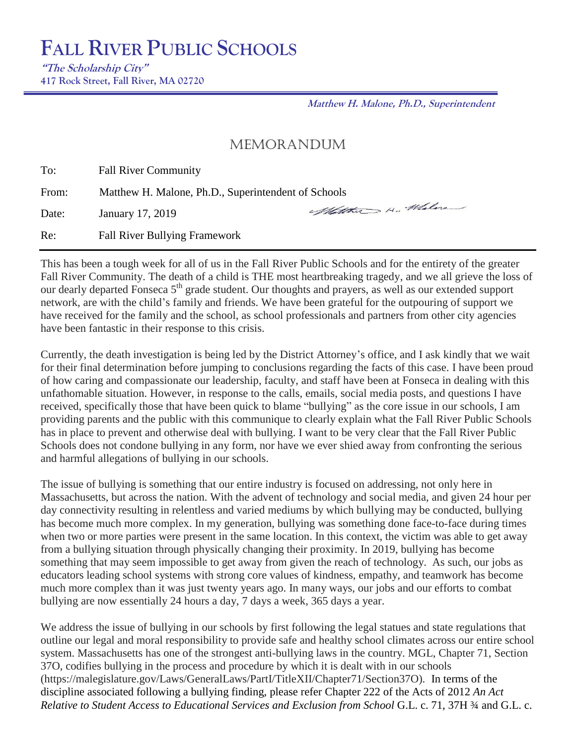**"The Scholarship City" 417 Rock Street, Fall River, MA 02720**

**Matthew H. Malone, Ph.D., Superintendent**

# MEMORANDUM

To: Fall River Community

From: Matthew H. Malone, Ph.D., Superintendent of Schools<br>Date: January 17 2010

Date: January 17, 2019

Re: Fall River Bullying Framework

This has been a tough week for all of us in the Fall River Public Schools and for the entirety of the greater Fall River Community. The death of a child is THE most heartbreaking tragedy, and we all grieve the loss of our dearly departed Fonseca 5<sup>th</sup> grade student. Our thoughts and prayers, as well as our extended support network, are with the child's family and friends. We have been grateful for the outpouring of support we have received for the family and the school, as school professionals and partners from other city agencies have been fantastic in their response to this crisis.

Currently, the death investigation is being led by the District Attorney's office, and I ask kindly that we wait for their final determination before jumping to conclusions regarding the facts of this case. I have been proud of how caring and compassionate our leadership, faculty, and staff have been at Fonseca in dealing with this unfathomable situation. However, in response to the calls, emails, social media posts, and questions I have received, specifically those that have been quick to blame "bullying" as the core issue in our schools, I am providing parents and the public with this communique to clearly explain what the Fall River Public Schools has in place to prevent and otherwise deal with bullying. I want to be very clear that the Fall River Public Schools does not condone bullying in any form, nor have we ever shied away from confronting the serious and harmful allegations of bullying in our schools.

The issue of bullying is something that our entire industry is focused on addressing, not only here in Massachusetts, but across the nation. With the advent of technology and social media, and given 24 hour per day connectivity resulting in relentless and varied mediums by which bullying may be conducted, bullying has become much more complex. In my generation, bullying was something done face-to-face during times when two or more parties were present in the same location. In this context, the victim was able to get away from a bullying situation through physically changing their proximity. In 2019, bullying has become something that may seem impossible to get away from given the reach of technology. As such, our jobs as educators leading school systems with strong core values of kindness, empathy, and teamwork has become much more complex than it was just twenty years ago. In many ways, our jobs and our efforts to combat bullying are now essentially 24 hours a day, 7 days a week, 365 days a year.

We address the issue of bullying in our schools by first following the legal statues and state regulations that outline our legal and moral responsibility to provide safe and healthy school climates across our entire school system. Massachusetts has one of the strongest anti-bullying laws in the country. MGL, Chapter 71, Section 37O, codifies bullying in the process and procedure by which it is dealt with in our schools (https://malegislature.gov/Laws/GeneralLaws/PartI/TitleXII/Chapter71/Section37O). In terms of the discipline associated following a bullying finding, please refer Chapter 222 of the Acts of 2012 *An Act Relative to Student Access to Educational Services and Exclusion from School* G.L. c. 71, 37H ¾ and G.L. c.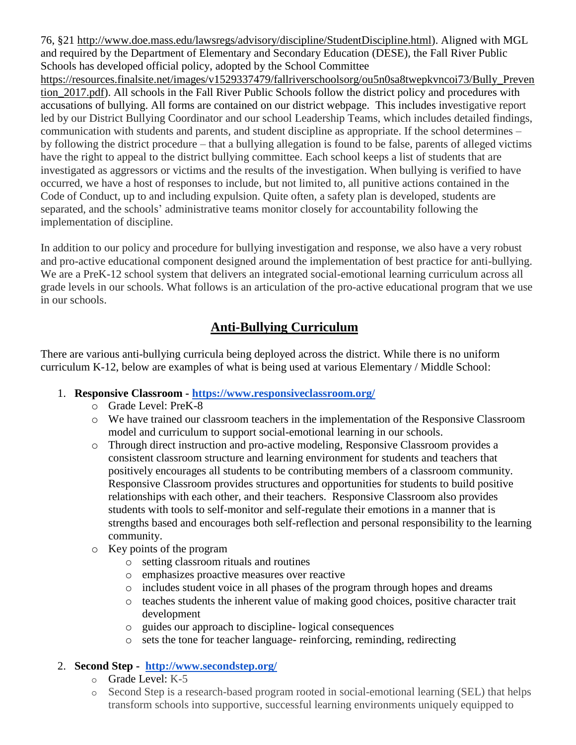76, §21 [http://www.doe.mass.edu/lawsregs/advisory/discipline/StudentDiscipline.html\)](http://www.doe.mass.edu/lawsregs/advisory/discipline/StudentDiscipline.html). Aligned with MGL and required by the Department of Elementary and Secondary Education (DESE), the Fall River Public Schools has developed official policy, adopted by the School Committee

[https://resources.finalsite.net/images/v1529337479/fallriverschoolsorg/ou5n0sa8twepkvncoi73/Bully\\_Preven](https://resources.finalsite.net/images/v1529337479/fallriverschoolsorg/ou5n0sa8twepkvncoi73/Bully_Prevention_2017.pdf) [tion\\_2017.pdf\)](https://resources.finalsite.net/images/v1529337479/fallriverschoolsorg/ou5n0sa8twepkvncoi73/Bully_Prevention_2017.pdf). All schools in the Fall River Public Schools follow the district policy and procedures with accusations of bullying. All forms are contained on our district webpage. This includes investigative report led by our District Bullying Coordinator and our school Leadership Teams, which includes detailed findings, communication with students and parents, and student discipline as appropriate. If the school determines – by following the district procedure – that a bullying allegation is found to be false, parents of alleged victims have the right to appeal to the district bullying committee. Each school keeps a list of students that are investigated as aggressors or victims and the results of the investigation. When bullying is verified to have occurred, we have a host of responses to include, but not limited to, all punitive actions contained in the Code of Conduct, up to and including expulsion. Quite often, a safety plan is developed, students are separated, and the schools' administrative teams monitor closely for accountability following the implementation of discipline.

In addition to our policy and procedure for bullying investigation and response, we also have a very robust and pro-active educational component designed around the implementation of best practice for anti-bullying. We are a PreK-12 school system that delivers an integrated social-emotional learning curriculum across all grade levels in our schools. What follows is an articulation of the pro-active educational program that we use in our schools.

# **Anti-Bullying Curriculum**

There are various anti-bullying curricula being deployed across the district. While there is no uniform curriculum K-12, below are examples of what is being used at various Elementary / Middle School:

- 1. **Responsive Classroom - <https://www.responsiveclassroom.org/>**
	- o Grade Level: PreK-8
	- o We have trained our classroom teachers in the implementation of the Responsive Classroom model and curriculum to support social-emotional learning in our schools.
	- o Through direct instruction and pro-active modeling, Responsive Classroom provides a consistent classroom structure and learning environment for students and teachers that positively encourages all students to be contributing members of a classroom community. Responsive Classroom provides structures and opportunities for students to build positive relationships with each other, and their teachers. Responsive Classroom also provides students with tools to self-monitor and self-regulate their emotions in a manner that is strengths based and encourages both self-reflection and personal responsibility to the learning community.
	- o Key points of the program
		- o setting classroom rituals and routines
		- o emphasizes proactive measures over reactive
		- o includes student voice in all phases of the program through hopes and dreams
		- o teaches students the inherent value of making good choices, positive character trait development
		- o guides our approach to discipline- logical consequences
		- o sets the tone for teacher language- reinforcing, reminding, redirecting

# 2. **Second Step - <http://www.secondstep.org/>**

- $\circ$  Grade Level: K-5
- o Second Step is a research-based program rooted in social-emotional learning (SEL) that helps transform schools into supportive, successful learning environments uniquely equipped to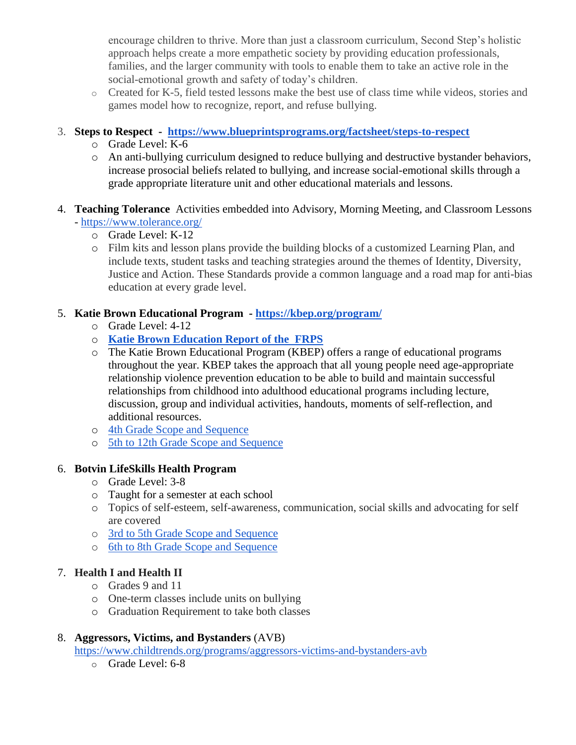encourage children to thrive. More than just a classroom curriculum, Second Step's holistic approach helps create a more empathetic society by providing education professionals, families, and the larger community with tools to enable them to take an active role in the social-emotional growth and safety of today's children.

o Created for K-5, field tested lessons make the best use of class time while videos, stories and games model how to recognize, report, and refuse bullying.

## 3. **Steps to Respect - <https://www.blueprintsprograms.org/factsheet/steps-to-respect>**

- o Grade Level: K-6
- o An anti-bullying curriculum designed to reduce bullying and destructive bystander behaviors, increase prosocial beliefs related to bullying, and increase social-emotional skills through a grade appropriate literature unit and other educational materials and lessons.
- 4. **Teaching Tolerance** Activities embedded into Advisory, Morning Meeting, and Classroom Lessons - <https://www.tolerance.org/>
	- o Grade Level: K-12
	- o Film kits and lesson plans provide the building blocks of a customized Learning Plan, and include texts, student tasks and teaching strategies around the themes of Identity, Diversity, Justice and Action. These Standards provide a common language and a road map for anti-bias education at every grade level.

## 5. **Katie Brown Educational Program - <https://kbep.org/program/>**

- o Grade Level: 4-12
- o **[Katie Brown Education Report of the FRPS](https://drive.google.com/drive/u/1/folders/0B5N9HRUaAFnsNGhwSUtnVC1Va2c?ogsrc=32)**
- o The Katie Brown Educational Program (KBEP) offers a range of educational programs throughout the year. KBEP takes the approach that all young people need age-appropriate relationship violence prevention education to be able to build and maintain successful relationships from childhood into adulthood educational programs including lecture, discussion, group and individual activities, handouts, moments of self-reflection, and additional resources.
- o [4th Grade Scope and Sequence](https://drive.google.com/drive/u/1/folders/0B5N9HRUaAFnsNGhwSUtnVC1Va2c?ogsrc=32)
- o [5th to 12th Grade Scope and Sequence](https://drive.google.com/drive/u/1/folders/0B5N9HRUaAFnsdDVqallsWV9LVEE?ogsrc=32)

## 6. **Botvin LifeSkills Health Program**

- o Grade Level: 3-8
- o Taught for a semester at each school
- o Topics of self-esteem, self-awareness, communication, social skills and advocating for self are covered
- o [3rd to 5th Grade Scope and Sequence](https://drive.google.com/drive/u/1/folders/1YoiSnKTwsvLPGGRFCkDFsp5tT8AyR9xL?ogsrc=32)
- o [6th to 8th Grade Scope and Sequence](https://drive.google.com/drive/u/1/folders/1mRW77AGckEahrdafuKoRlg4qiYI57ZHu?ogsrc=32)

#### 7. **Health I and Health II**

- o Grades 9 and 11
- o One-term classes include units on bullying
- o Graduation Requirement to take both classes

#### 8. **Aggressors, Victims, and Bystanders** (AVB)

<https://www.childtrends.org/programs/aggressors-victims-and-bystanders-avb>

o Grade Level: 6-8